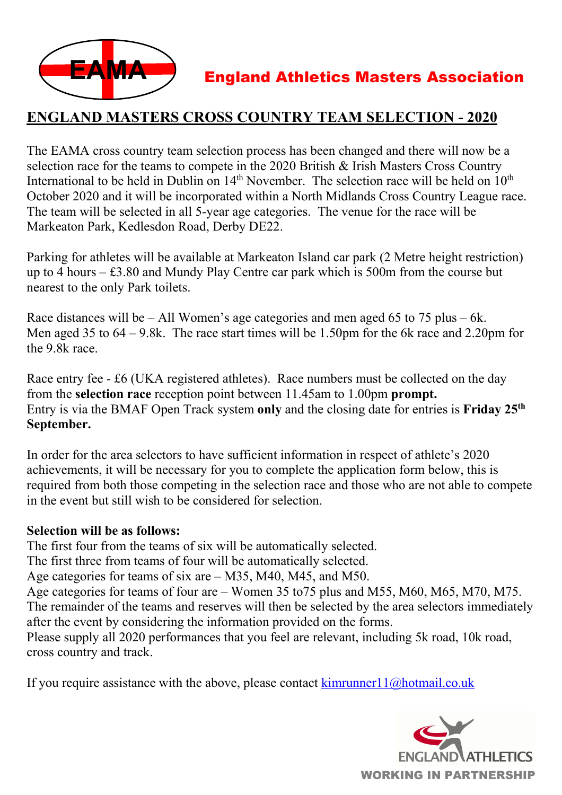

## **ENGLAND MASTERS CROSS COUNTRY TEAM SELECTION - 2020**

The EAMA cross country team selection process has been changed and there will now be a selection race for the teams to compete in the 2020 British & Irish Masters Cross Country International to be held in Dublin on  $14<sup>th</sup>$  November. The selection race will be held on  $10<sup>th</sup>$ October 2020 and it will be incorporated within a North Midlands Cross Country League race. The team will be selected in all 5-year age categories. The venue for the race will be Markeaton Park, Kedlesdon Road, Derby DE22.

Parking for athletes will be available at Markeaton Island car park (2 Metre height restriction) up to 4 hours – £3.80 and Mundy Play Centre car park which is 500m from the course but nearest to the only Park toilets.

Race distances will be – All Women's age categories and men aged 65 to 75 plus – 6k. Men aged 35 to  $64 - 9.8$ k. The race start times will be 1.50pm for the 6k race and 2.20pm for the 9.8k race.

Race entry fee - £6 (UKA registered athletes). Race numbers must be collected on the day from the **selection race** reception point between 11.45am to 1.00pm **prompt.** Entry is via the BMAF Open Track system **only** and the closing date for entries is **Friday 25th September.** 

In order for the area selectors to have sufficient information in respect of athlete's 2020 achievements, it will be necessary for you to complete the application form below, this is required from both those competing in the selection race and those who are not able to compete in the event but still wish to be considered for selection.

#### **Selection will be as follows:**

The first four from the teams of six will be automatically selected.

The first three from teams of four will be automatically selected.

Age categories for teams of six are – M35, M40, M45, and M50.

Age categories for teams of four are – Women 35 to75 plus and M55, M60, M65, M70, M75. The remainder of the teams and reserves will then be selected by the area selectors immediately after the event by considering the information provided on the forms.

Please supply all 2020 performances that you feel are relevant, including 5k road, 10k road, cross country and track.

If you require assistance with the above, please contact  $k$ imrunner $11$ @hotmail.co.uk

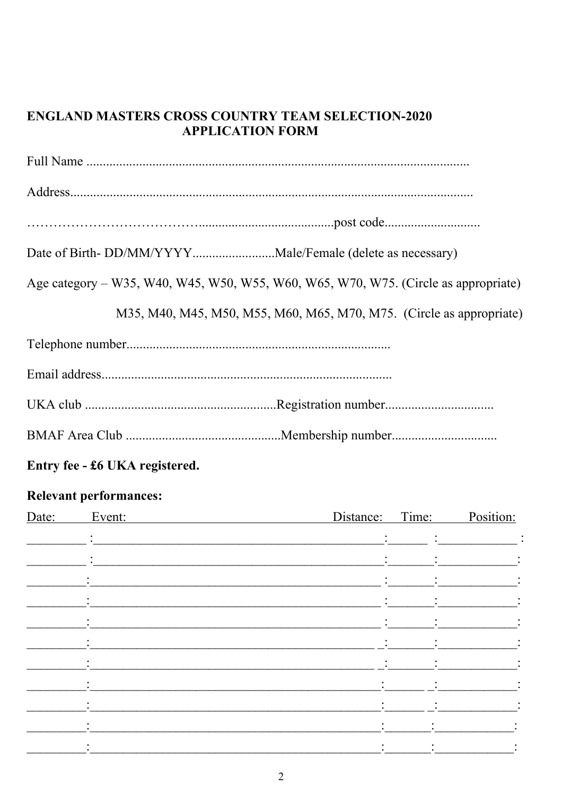#### **ENGLAND MASTERS CROSS COUNTRY TEAM SELECTION-2020 APPLICATION FORM**

| Age category – W35, W40, W45, W50, W55, W60, W65, W70, W75. (Circle as appropriate) |
|-------------------------------------------------------------------------------------|
| M35, M40, M45, M50, M55, M60, M65, M70, M75. (Circle as appropriate)                |
|                                                                                     |
|                                                                                     |
|                                                                                     |
|                                                                                     |
|                                                                                     |

### Entry fee - £6 UKA registered.

## **Relevant performances:**

| Date: | Event:    |                |                                   | Distance: Time: Position:                             |
|-------|-----------|----------------|-----------------------------------|-------------------------------------------------------|
|       |           |                |                                   |                                                       |
|       |           | $\ddot{\cdot}$ |                                   | $\mathbb{C}^n$ . The set of the set of $\mathbb{C}^n$ |
|       |           | ÷              | $\sim 10^{11}$ and $\sim 10^{11}$ |                                                       |
|       |           | $\ddot{\cdot}$ |                                   | $\bullet$<br>$\bullet$                                |
|       |           |                |                                   |                                                       |
|       |           |                |                                   |                                                       |
|       |           |                |                                   |                                                       |
|       |           |                |                                   |                                                       |
|       |           |                |                                   |                                                       |
|       |           |                |                                   | $\ddot{\cdot}$                                        |
|       |           | $\bullet$      |                                   | $\bullet$                                             |
|       | $\bullet$ |                |                                   |                                                       |
|       |           |                |                                   |                                                       |
|       |           |                |                                   |                                                       |
|       |           |                |                                   |                                                       |
|       |           |                |                                   |                                                       |